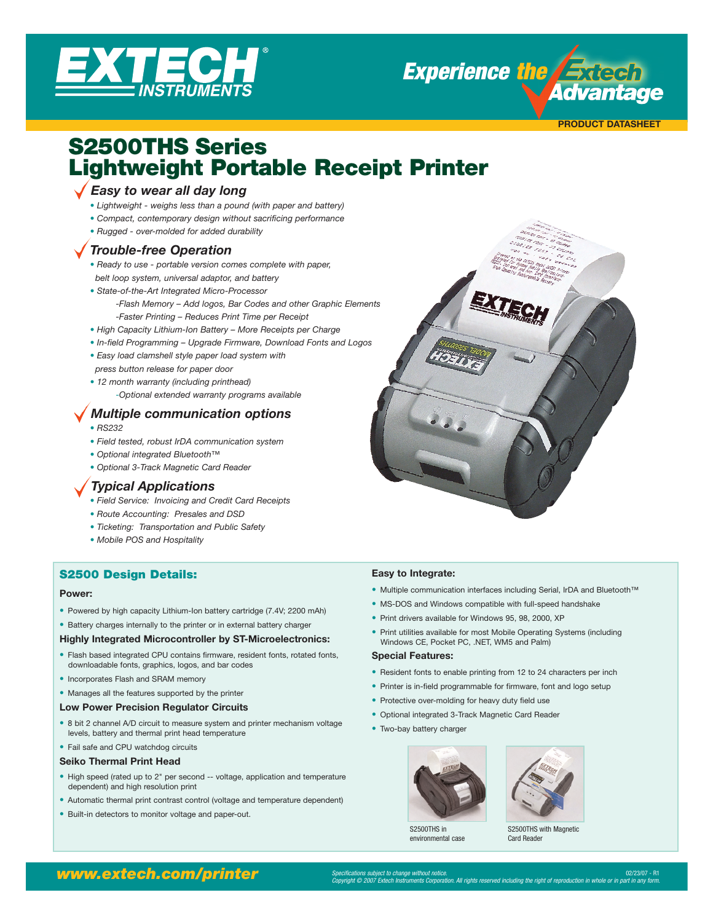

**Experience the Exter** *Advantage* 

**PRODUCT DATASHEET**

# S2500THS Series Lightweight Portable Receipt Printer

# *Easy to wear all day long*

- *• Lightweight weighs less than a pound (with paper and battery)*
- *• Compact, contemporary design without sacrificing performance*
- *• Rugged over-molded for added durability*

# *Trouble-free Operation*

- *• Ready to use portable version comes complete with paper, belt loop system, universal adaptor, and battery*
- *• State-of-the-Art Integrated Micro-Processor*
	- *-Flash Memory Add logos, Bar Codes and other Graphic Elements -Faster Printing – Reduces Print Time per Receipt*
- *• High Capacity Lithium-Ion Battery More Receipts per Charge*
- *• In-field Programming Upgrade Firmware, Download Fonts and Logos*
- *• Easy load clamshell style paper load system with press button release for paper door*
- *• 12 month warranty (including printhead)*
	- *-Optional extended warranty programs available*

# *Multiple communication options*

- *• RS232*
- *• Field tested, robust IrDA communication system*
- *• Optional integrated Bluetooth™*
- *• Optional 3-Track Magnetic Card Reader*

# *Typical Applications*

- *• Field Service: Invoicing and Credit Card Receipts*
- *• Route Accounting: Presales and DSD*
- *• Ticketing: Transportation and Public Safety*
- *• Mobile POS and Hospitality*

# S2500 Design Details:

#### **Power:**

- Powered by high capacity Lithium-Ion battery cartridge (7.4V; 2200 mAh)
- Battery charges internally to the printer or in external battery charger

#### **Highly Integrated Microcontroller by ST-Microelectronics:**

- Flash based integrated CPU contains firmware, resident fonts, rotated fonts, downloadable fonts, graphics, logos, and bar codes
- Incorporates Flash and SRAM memory
- Manages all the features supported by the printer
- **Low Power Precision Regulator Circuits**
- 8 bit 2 channel A/D circuit to measure system and printer mechanism voltage levels, battery and thermal print head temperature
- Fail safe and CPU watchdog circuits

#### **Seiko Thermal Print Head**

- High speed (rated up to 2" per second -- voltage, application and temperature dependent) and high resolution print
- Automatic thermal print contrast control (voltage and temperature dependent)
- Built-in detectors to monitor voltage and paper-out.

#### **Easy to Integrate:**

- Multiple communication interfaces including Serial, IrDA and Bluetooth™
- MS-DOS and Windows compatible with full-speed handshake
- Print drivers available for Windows 95, 98, 2000, XP
- Print utilities available for most Mobile Operating Systems (including Windows CE, Pocket PC, .NET, WM5 and Palm)

#### **Special Features:**

- Resident fonts to enable printing from 12 to 24 characters per inch
- Printer is in-field programmable for firmware, font and logo setup
- Protective over-molding for heavy duty field use
- Optional integrated 3-Track Magnetic Card Reader
- Two-bay battery charger

S2500THS in environmental case



S2500THS with Magnetic Card Reader